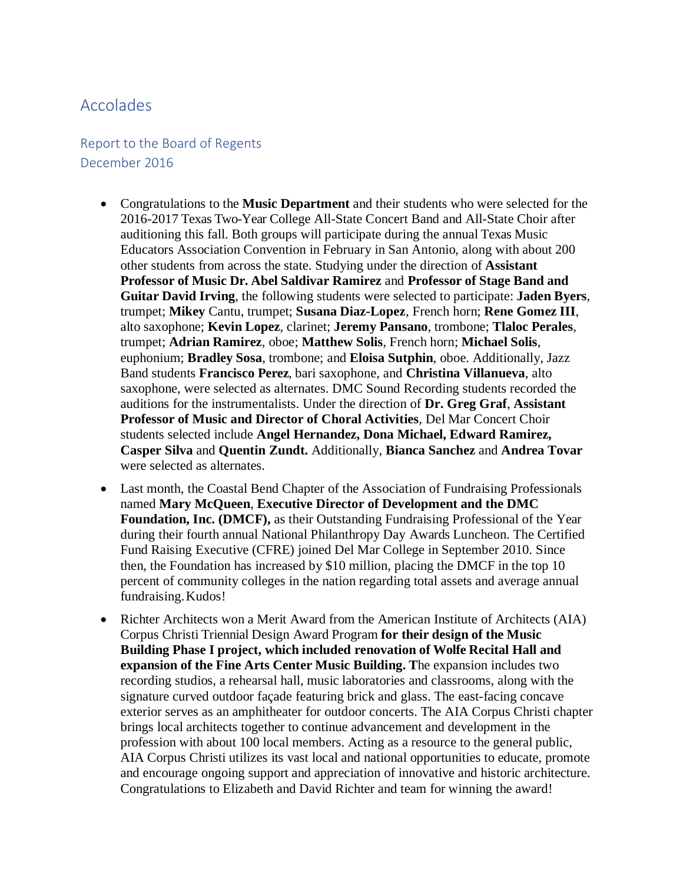## Accolades

## Report to the Board of Regents December 2016

- Congratulations to the **Music Department** and their students who were selected for the 2016-2017 Texas Two-Year College All-State Concert Band and All-State Choir after auditioning this fall. Both groups will participate during the annual Texas Music Educators Association Convention in February in San Antonio, along with about 200 other students from across the state. Studying under the direction of **Assistant Professor of Music Dr. Abel Saldivar Ramirez** and **Professor of Stage Band and Guitar David Irving**, the following students were selected to participate: **Jaden Byers**, trumpet; **Mikey** Cantu, trumpet; **Susana Diaz-Lopez**, French horn; **Rene Gomez III**, alto saxophone; **Kevin Lopez**, clarinet; **Jeremy Pansano**, trombone; **Tlaloc Perales**, trumpet; **Adrian Ramirez**, oboe; **Matthew Solis**, French horn; **Michael Solis**, euphonium; **Bradley Sosa**, trombone; and **Eloisa Sutphin**, oboe. Additionally, Jazz Band students **Francisco Perez**, bari saxophone, and **Christina Villanueva**, alto saxophone, were selected as alternates. DMC Sound Recording students recorded the auditions for the instrumentalists. Under the direction of **Dr. Greg Graf**, **Assistant Professor of Music and Director of Choral Activities**, Del Mar Concert Choir students selected include **Angel Hernandez, Dona Michael, Edward Ramirez, Casper Silva** and **Quentin Zundt.** Additionally, **Bianca Sanchez** and **Andrea Tovar**  were selected as alternates.
- Last month, the Coastal Bend Chapter of the Association of Fundraising Professionals named **Mary McQueen**, **Executive Director of Development and the DMC Foundation, Inc. (DMCF),** as their Outstanding Fundraising Professional of the Year during their fourth annual National Philanthropy Day Awards Luncheon. The Certified Fund Raising Executive (CFRE) joined Del Mar College in September 2010. Since then, the Foundation has increased by \$10 million, placing the DMCF in the top 10 percent of community colleges in the nation regarding total assets and average annual fundraising. Kudos!
- Richter Architects won a Merit Award from the American Institute of Architects (AIA) Corpus Christi Triennial Design Award Program **for their design of the Music Building Phase I project, which included renovation of Wolfe Recital Hall and expansion of the Fine Arts Center Music Building. T**he expansion includes two recording studios, a rehearsal hall, music laboratories and classrooms, along with the signature curved outdoor façade featuring brick and glass. The east-facing concave exterior serves as an amphitheater for outdoor concerts. The AIA Corpus Christi chapter brings local architects together to continue advancement and development in the profession with about 100 local members. Acting as a resource to the general public, AIA Corpus Christi utilizes its vast local and national opportunities to educate, promote and encourage ongoing support and appreciation of innovative and historic architecture. Congratulations to Elizabeth and David Richter and team for winning the award!